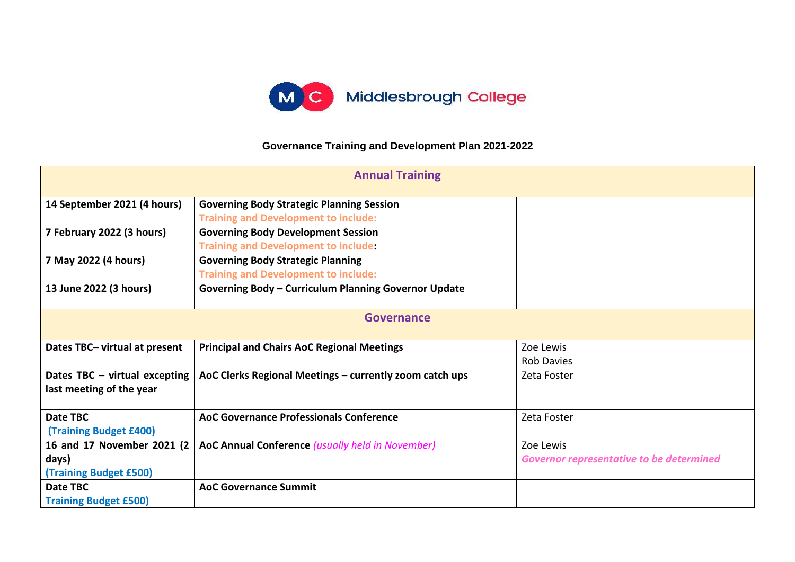

## **Governance Training and Development Plan 2021-2022**

| <b>Annual Training</b>        |                                                             |                                                 |  |  |
|-------------------------------|-------------------------------------------------------------|-------------------------------------------------|--|--|
| 14 September 2021 (4 hours)   | <b>Governing Body Strategic Planning Session</b>            |                                                 |  |  |
|                               | <b>Training and Development to include:</b>                 |                                                 |  |  |
| 7 February 2022 (3 hours)     | <b>Governing Body Development Session</b>                   |                                                 |  |  |
|                               | <b>Training and Development to include:</b>                 |                                                 |  |  |
| 7 May 2022 (4 hours)          | <b>Governing Body Strategic Planning</b>                    |                                                 |  |  |
|                               | <b>Training and Development to include:</b>                 |                                                 |  |  |
| 13 June 2022 (3 hours)        | <b>Governing Body - Curriculum Planning Governor Update</b> |                                                 |  |  |
| <b>Governance</b>             |                                                             |                                                 |  |  |
| Dates TBC- virtual at present | <b>Principal and Chairs AoC Regional Meetings</b>           | Zoe Lewis                                       |  |  |
|                               |                                                             | <b>Rob Davies</b>                               |  |  |
| Dates TBC - virtual excepting | AoC Clerks Regional Meetings - currently zoom catch ups     | Zeta Foster                                     |  |  |
| last meeting of the year      |                                                             |                                                 |  |  |
|                               |                                                             |                                                 |  |  |
| Date TBC                      | <b>AoC Governance Professionals Conference</b>              | Zeta Foster                                     |  |  |
| <b>(Training Budget £400)</b> |                                                             |                                                 |  |  |
| 16 and 17 November 2021 (2    | AoC Annual Conference (usually held in November)            | Zoe Lewis                                       |  |  |
| days)                         |                                                             | <b>Governor representative to be determined</b> |  |  |
| <b>(Training Budget £500)</b> |                                                             |                                                 |  |  |
| Date TBC                      | <b>AoC Governance Summit</b>                                |                                                 |  |  |
| <b>Training Budget £500)</b>  |                                                             |                                                 |  |  |